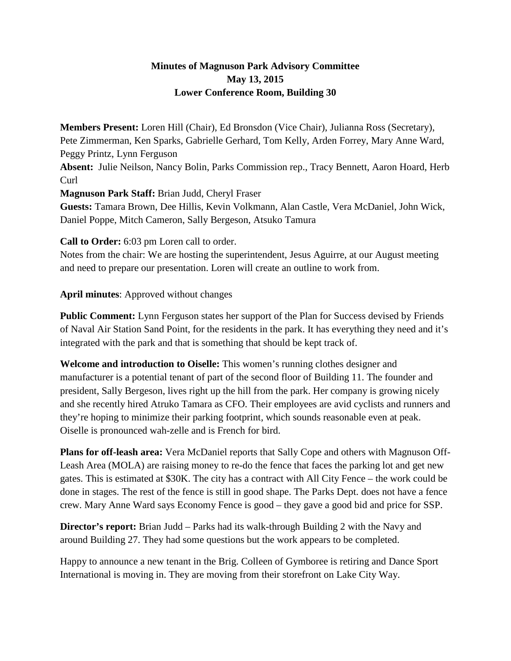## **Minutes of Magnuson Park Advisory Committee May 13, 2015 Lower Conference Room, Building 30**

**Members Present:** Loren Hill (Chair), Ed Bronsdon (Vice Chair), Julianna Ross (Secretary), Pete Zimmerman, Ken Sparks, Gabrielle Gerhard, Tom Kelly, Arden Forrey, Mary Anne Ward, Peggy Printz, Lynn Ferguson **Absent:** Julie Neilson, Nancy Bolin, Parks Commission rep., Tracy Bennett, Aaron Hoard, Herb

Curl

**Magnuson Park Staff:** Brian Judd, Cheryl Fraser

**Guests:** Tamara Brown, Dee Hillis, Kevin Volkmann, Alan Castle, Vera McDaniel, John Wick, Daniel Poppe, Mitch Cameron, Sally Bergeson, Atsuko Tamura

**Call to Order:** 6:03 pm Loren call to order.

Notes from the chair: We are hosting the superintendent, Jesus Aguirre, at our August meeting and need to prepare our presentation. Loren will create an outline to work from.

## **April minutes**: Approved without changes

**Public Comment:** Lynn Ferguson states her support of the Plan for Success devised by Friends of Naval Air Station Sand Point, for the residents in the park. It has everything they need and it's integrated with the park and that is something that should be kept track of.

**Welcome and introduction to Oiselle:** This women's running clothes designer and manufacturer is a potential tenant of part of the second floor of Building 11. The founder and president, Sally Bergeson, lives right up the hill from the park. Her company is growing nicely and she recently hired Atruko Tamara as CFO. Their employees are avid cyclists and runners and they're hoping to minimize their parking footprint, which sounds reasonable even at peak. Oiselle is pronounced wah-zelle and is French for bird.

**Plans for off-leash area:** Vera McDaniel reports that Sally Cope and others with Magnuson Off-Leash Area (MOLA) are raising money to re-do the fence that faces the parking lot and get new gates. This is estimated at \$30K. The city has a contract with All City Fence – the work could be done in stages. The rest of the fence is still in good shape. The Parks Dept. does not have a fence crew. Mary Anne Ward says Economy Fence is good – they gave a good bid and price for SSP.

**Director's report:** Brian Judd – Parks had its walk-through Building 2 with the Navy and around Building 27. They had some questions but the work appears to be completed.

Happy to announce a new tenant in the Brig. Colleen of Gymboree is retiring and Dance Sport International is moving in. They are moving from their storefront on Lake City Way.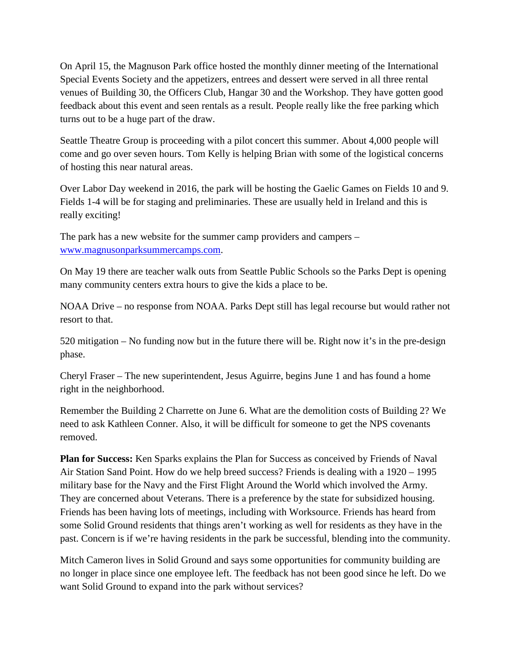On April 15, the Magnuson Park office hosted the monthly dinner meeting of the International Special Events Society and the appetizers, entrees and dessert were served in all three rental venues of Building 30, the Officers Club, Hangar 30 and the Workshop. They have gotten good feedback about this event and seen rentals as a result. People really like the free parking which turns out to be a huge part of the draw.

Seattle Theatre Group is proceeding with a pilot concert this summer. About 4,000 people will come and go over seven hours. Tom Kelly is helping Brian with some of the logistical concerns of hosting this near natural areas.

Over Labor Day weekend in 2016, the park will be hosting the Gaelic Games on Fields 10 and 9. Fields 1-4 will be for staging and preliminaries. These are usually held in Ireland and this is really exciting!

The park has a new website for the summer camp providers and campers – [www.magnusonparksummercamps.com.](http://www.magnusonparksummercamps.com/)

On May 19 there are teacher walk outs from Seattle Public Schools so the Parks Dept is opening many community centers extra hours to give the kids a place to be.

NOAA Drive – no response from NOAA. Parks Dept still has legal recourse but would rather not resort to that.

520 mitigation – No funding now but in the future there will be. Right now it's in the pre-design phase.

Cheryl Fraser – The new superintendent, Jesus Aguirre, begins June 1 and has found a home right in the neighborhood.

Remember the Building 2 Charrette on June 6. What are the demolition costs of Building 2? We need to ask Kathleen Conner. Also, it will be difficult for someone to get the NPS covenants removed.

**Plan for Success:** Ken Sparks explains the Plan for Success as conceived by Friends of Naval Air Station Sand Point. How do we help breed success? Friends is dealing with a 1920 – 1995 military base for the Navy and the First Flight Around the World which involved the Army. They are concerned about Veterans. There is a preference by the state for subsidized housing. Friends has been having lots of meetings, including with Worksource. Friends has heard from some Solid Ground residents that things aren't working as well for residents as they have in the past. Concern is if we're having residents in the park be successful, blending into the community.

Mitch Cameron lives in Solid Ground and says some opportunities for community building are no longer in place since one employee left. The feedback has not been good since he left. Do we want Solid Ground to expand into the park without services?